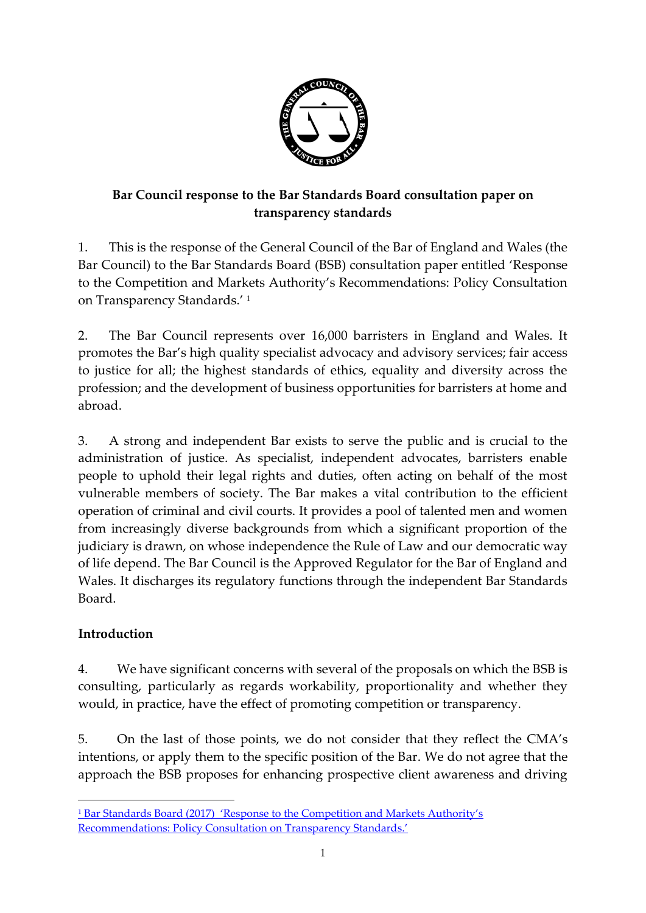

# **Bar Council response to the Bar Standards Board consultation paper on transparency standards**

1. This is the response of the General Council of the Bar of England and Wales (the Bar Council) to the Bar Standards Board (BSB) consultation paper entitled 'Response to the Competition and Markets Authority's Recommendations: Policy Consultation on Transparency Standards.' <sup>1</sup>

2. The Bar Council represents over 16,000 barristers in England and Wales. It promotes the Bar's high quality specialist advocacy and advisory services; fair access to justice for all; the highest standards of ethics, equality and diversity across the profession; and the development of business opportunities for barristers at home and abroad.

3. A strong and independent Bar exists to serve the public and is crucial to the administration of justice. As specialist, independent advocates, barristers enable people to uphold their legal rights and duties, often acting on behalf of the most vulnerable members of society. The Bar makes a vital contribution to the efficient operation of criminal and civil courts. It provides a pool of talented men and women from increasingly diverse backgrounds from which a significant proportion of the judiciary is drawn, on whose independence the Rule of Law and our democratic way of life depend. The Bar Council is the Approved Regulator for the Bar of England and Wales. It discharges its regulatory functions through the independent Bar Standards Board.

# **Introduction**

**.** 

4. We have significant concerns with several of the proposals on which the BSB is consulting, particularly as regards workability, proportionality and whether they would, in practice, have the effect of promoting competition or transparency.

5. On the last of those points, we do not consider that they reflect the CMA's intentions, or apply them to the specific position of the Bar. We do not agree that the approach the BSB proposes for enhancing prospective client awareness and driving

<sup>1</sup> Bar Standards Board (2017) ['Response to the Competition and Markets Authority's](https://www.barstandardsboard.org.uk/media/1852551/october_2017_-_policy_consultation_on_transparency_standards.pdf)  [Recommendations: Policy Consultation on Tran](https://www.barstandardsboard.org.uk/media/1852551/october_2017_-_policy_consultation_on_transparency_standards.pdf)sparency Standards.'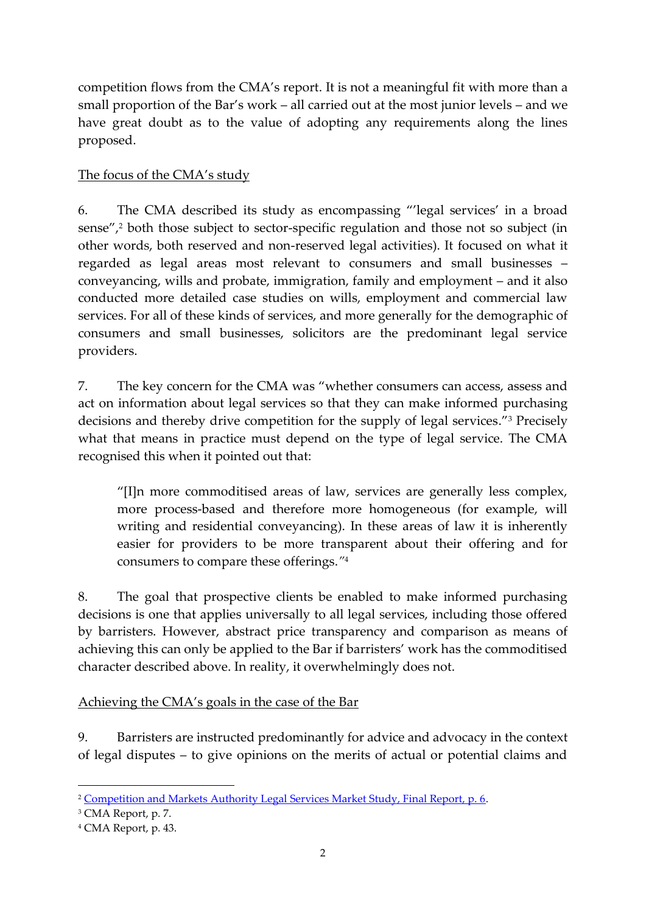competition flows from the CMA's report. It is not a meaningful fit with more than a small proportion of the Bar's work – all carried out at the most junior levels – and we have great doubt as to the value of adopting any requirements along the lines proposed.

### The focus of the CMA's study

6. The CMA described its study as encompassing "'legal services' in a broad sense",<sup>2</sup> both those subject to sector-specific regulation and those not so subject (in other words, both reserved and non-reserved legal activities). It focused on what it regarded as legal areas most relevant to consumers and small businesses – conveyancing, wills and probate, immigration, family and employment – and it also conducted more detailed case studies on wills, employment and commercial law services. For all of these kinds of services, and more generally for the demographic of consumers and small businesses, solicitors are the predominant legal service providers.

7. The key concern for the CMA was "whether consumers can access, assess and act on information about legal services so that they can make informed purchasing decisions and thereby drive competition for the supply of legal services."<sup>3</sup> Precisely what that means in practice must depend on the type of legal service. The CMA recognised this when it pointed out that:

"[I]n more commoditised areas of law, services are generally less complex, more process-based and therefore more homogeneous (for example, will writing and residential conveyancing). In these areas of law it is inherently easier for providers to be more transparent about their offering and for consumers to compare these offerings.*"* 4

8. The goal that prospective clients be enabled to make informed purchasing decisions is one that applies universally to all legal services, including those offered by barristers. However, abstract price transparency and comparison as means of achieving this can only be applied to the Bar if barristers' work has the commoditised character described above. In reality, it overwhelmingly does not.

Achieving the CMA's goals in the case of the Bar

9. Barristers are instructed predominantly for advice and advocacy in the context of legal disputes – to give opinions on the merits of actual or potential claims and

**<sup>.</sup>** <sup>2</sup> [Competition and Markets Authority Legal Services Market Study, Final Report, p. 6.](mailto:https://assets.publishing.service.gov.uk/media/5887374d40f0b6593700001a/legal-services-market-study-final-report.pdf)

<sup>3</sup> CMA Report, p. 7.

<sup>4</sup> CMA Report, p. 43.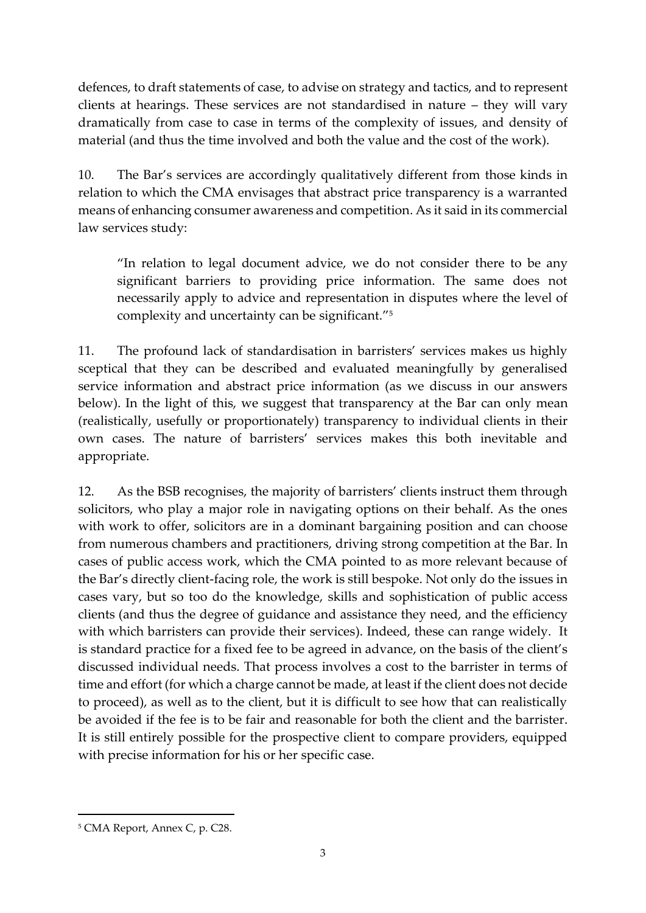defences, to draft statements of case, to advise on strategy and tactics, and to represent clients at hearings. These services are not standardised in nature – they will vary dramatically from case to case in terms of the complexity of issues, and density of material (and thus the time involved and both the value and the cost of the work).

10. The Bar's services are accordingly qualitatively different from those kinds in relation to which the CMA envisages that abstract price transparency is a warranted means of enhancing consumer awareness and competition. As it said in its commercial law services study:

"In relation to legal document advice, we do not consider there to be any significant barriers to providing price information. The same does not necessarily apply to advice and representation in disputes where the level of complexity and uncertainty can be significant." 5

11. The profound lack of standardisation in barristers' services makes us highly sceptical that they can be described and evaluated meaningfully by generalised service information and abstract price information (as we discuss in our answers below). In the light of this, we suggest that transparency at the Bar can only mean (realistically, usefully or proportionately) transparency to individual clients in their own cases. The nature of barristers' services makes this both inevitable and appropriate.

12. As the BSB recognises, the majority of barristers' clients instruct them through solicitors, who play a major role in navigating options on their behalf. As the ones with work to offer, solicitors are in a dominant bargaining position and can choose from numerous chambers and practitioners, driving strong competition at the Bar. In cases of public access work, which the CMA pointed to as more relevant because of the Bar's directly client-facing role, the work is still bespoke. Not only do the issues in cases vary, but so too do the knowledge, skills and sophistication of public access clients (and thus the degree of guidance and assistance they need, and the efficiency with which barristers can provide their services). Indeed, these can range widely. It is standard practice for a fixed fee to be agreed in advance, on the basis of the client's discussed individual needs. That process involves a cost to the barrister in terms of time and effort (for which a charge cannot be made, at least if the client does not decide to proceed), as well as to the client, but it is difficult to see how that can realistically be avoided if the fee is to be fair and reasonable for both the client and the barrister. It is still entirely possible for the prospective client to compare providers, equipped with precise information for his or her specific case.

 $\overline{a}$ 

<sup>5</sup> CMA Report, Annex C, p. C28.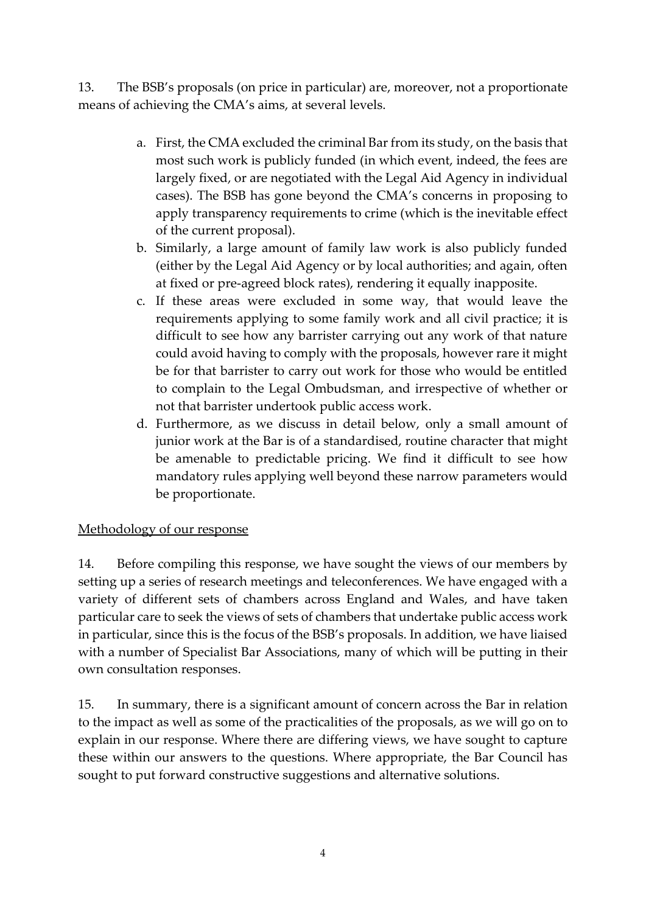13. The BSB's proposals (on price in particular) are, moreover, not a proportionate means of achieving the CMA's aims, at several levels.

- a. First, the CMA excluded the criminal Bar from its study, on the basis that most such work is publicly funded (in which event, indeed, the fees are largely fixed, or are negotiated with the Legal Aid Agency in individual cases). The BSB has gone beyond the CMA's concerns in proposing to apply transparency requirements to crime (which is the inevitable effect of the current proposal).
- b. Similarly, a large amount of family law work is also publicly funded (either by the Legal Aid Agency or by local authorities; and again, often at fixed or pre-agreed block rates), rendering it equally inapposite.
- c. If these areas were excluded in some way, that would leave the requirements applying to some family work and all civil practice; it is difficult to see how any barrister carrying out any work of that nature could avoid having to comply with the proposals, however rare it might be for that barrister to carry out work for those who would be entitled to complain to the Legal Ombudsman, and irrespective of whether or not that barrister undertook public access work.
- d. Furthermore, as we discuss in detail below, only a small amount of junior work at the Bar is of a standardised, routine character that might be amenable to predictable pricing. We find it difficult to see how mandatory rules applying well beyond these narrow parameters would be proportionate.

#### Methodology of our response

14. Before compiling this response, we have sought the views of our members by setting up a series of research meetings and teleconferences. We have engaged with a variety of different sets of chambers across England and Wales, and have taken particular care to seek the views of sets of chambers that undertake public access work in particular, since this is the focus of the BSB's proposals. In addition, we have liaised with a number of Specialist Bar Associations, many of which will be putting in their own consultation responses.

15. In summary, there is a significant amount of concern across the Bar in relation to the impact as well as some of the practicalities of the proposals, as we will go on to explain in our response. Where there are differing views, we have sought to capture these within our answers to the questions. Where appropriate, the Bar Council has sought to put forward constructive suggestions and alternative solutions.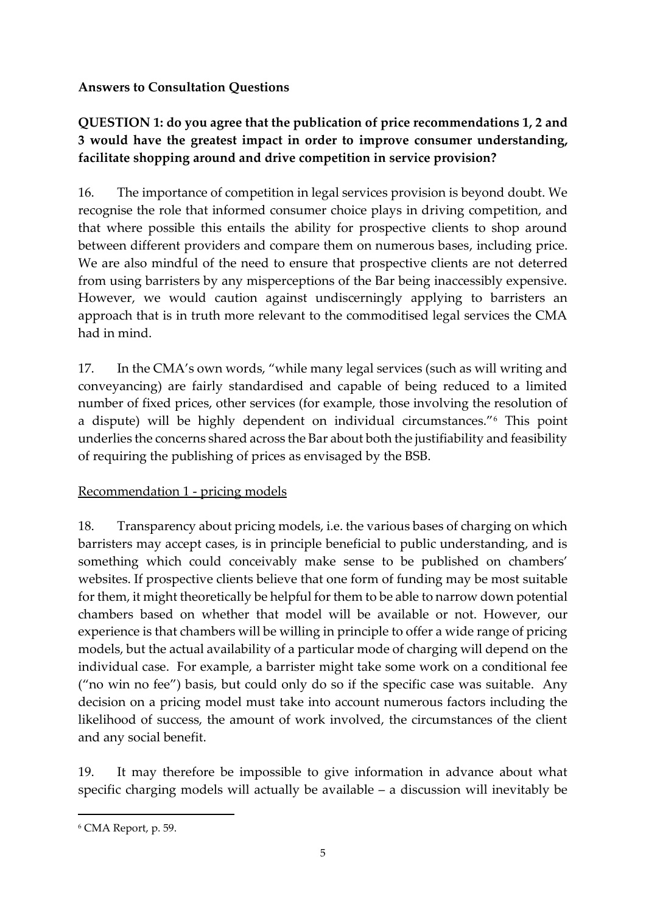#### **Answers to Consultation Questions**

# **QUESTION 1: do you agree that the publication of price recommendations 1, 2 and 3 would have the greatest impact in order to improve consumer understanding, facilitate shopping around and drive competition in service provision?**

16. The importance of competition in legal services provision is beyond doubt. We recognise the role that informed consumer choice plays in driving competition, and that where possible this entails the ability for prospective clients to shop around between different providers and compare them on numerous bases, including price. We are also mindful of the need to ensure that prospective clients are not deterred from using barristers by any misperceptions of the Bar being inaccessibly expensive. However, we would caution against undiscerningly applying to barristers an approach that is in truth more relevant to the commoditised legal services the CMA had in mind.

17. In the CMA's own words, "while many legal services (such as will writing and conveyancing) are fairly standardised and capable of being reduced to a limited number of fixed prices, other services (for example, those involving the resolution of a dispute) will be highly dependent on individual circumstances."<sup>6</sup> This point underlies the concerns shared across the Bar about both the justifiability and feasibility of requiring the publishing of prices as envisaged by the BSB.

### Recommendation 1 - pricing models

18. Transparency about pricing models, i.e. the various bases of charging on which barristers may accept cases, is in principle beneficial to public understanding, and is something which could conceivably make sense to be published on chambers' websites. If prospective clients believe that one form of funding may be most suitable for them, it might theoretically be helpful for them to be able to narrow down potential chambers based on whether that model will be available or not. However, our experience is that chambers will be willing in principle to offer a wide range of pricing models, but the actual availability of a particular mode of charging will depend on the individual case. For example, a barrister might take some work on a conditional fee ("no win no fee") basis, but could only do so if the specific case was suitable. Any decision on a pricing model must take into account numerous factors including the likelihood of success, the amount of work involved, the circumstances of the client and any social benefit.

19. It may therefore be impossible to give information in advance about what specific charging models will actually be available – a discussion will inevitably be

 $\overline{a}$ 

<sup>6</sup> CMA Report, p. 59.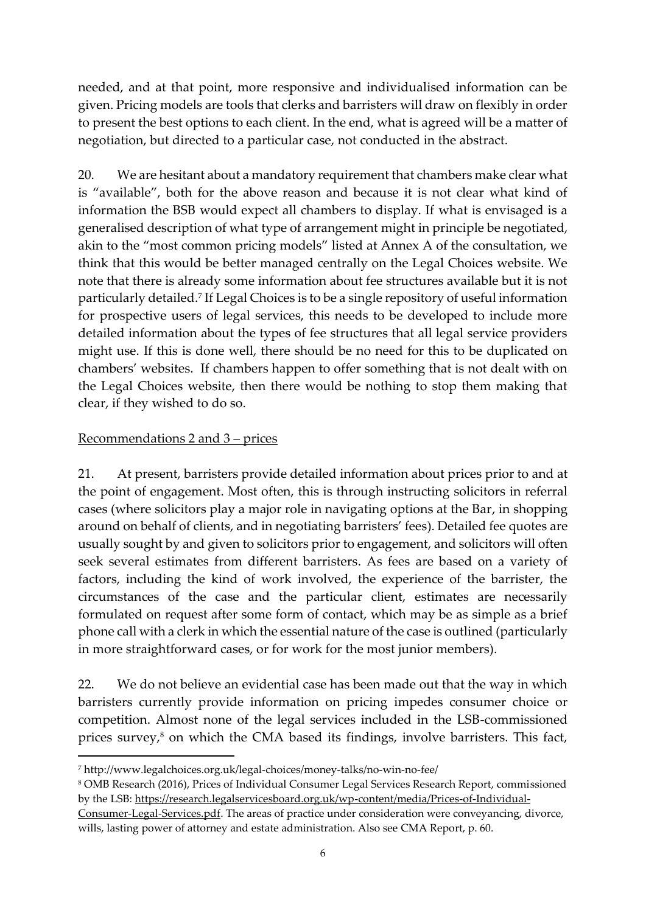needed, and at that point, more responsive and individualised information can be given. Pricing models are tools that clerks and barristers will draw on flexibly in order to present the best options to each client. In the end, what is agreed will be a matter of negotiation, but directed to a particular case, not conducted in the abstract.

20. We are hesitant about a mandatory requirement that chambers make clear what is "available", both for the above reason and because it is not clear what kind of information the BSB would expect all chambers to display. If what is envisaged is a generalised description of what type of arrangement might in principle be negotiated, akin to the "most common pricing models" listed at Annex A of the consultation, we think that this would be better managed centrally on the Legal Choices website. We note that there is already some information about fee structures available but it is not particularly detailed.<sup>7</sup> If Legal Choices is to be a single repository of useful information for prospective users of legal services, this needs to be developed to include more detailed information about the types of fee structures that all legal service providers might use. If this is done well, there should be no need for this to be duplicated on chambers' websites. If chambers happen to offer something that is not dealt with on the Legal Choices website, then there would be nothing to stop them making that clear, if they wished to do so.

#### Recommendations 2 and 3 – prices

**.** 

21. At present, barristers provide detailed information about prices prior to and at the point of engagement. Most often, this is through instructing solicitors in referral cases (where solicitors play a major role in navigating options at the Bar, in shopping around on behalf of clients, and in negotiating barristers' fees). Detailed fee quotes are usually sought by and given to solicitors prior to engagement, and solicitors will often seek several estimates from different barristers. As fees are based on a variety of factors, including the kind of work involved, the experience of the barrister, the circumstances of the case and the particular client, estimates are necessarily formulated on request after some form of contact, which may be as simple as a brief phone call with a clerk in which the essential nature of the case is outlined (particularly in more straightforward cases, or for work for the most junior members).

22. We do not believe an evidential case has been made out that the way in which barristers currently provide information on pricing impedes consumer choice or competition. Almost none of the legal services included in the LSB-commissioned prices survey,<sup>8</sup> on which the CMA based its findings, involve barristers. This fact,

[Consumer-Legal-Services.pdf.](https://research.legalservicesboard.org.uk/wp-content/media/Prices-of-Individual-Consumer-Legal-Services.pdf) The areas of practice under consideration were conveyancing, divorce, wills, lasting power of attorney and estate administration. Also see CMA Report, p. 60.

<sup>7</sup> http://www.legalchoices.org.uk/legal-choices/money-talks/no-win-no-fee/

<sup>8</sup> OMB Research (2016), Prices of Individual Consumer Legal Services Research Report, commissioned by the LSB: [https://research.legalservicesboard.org.uk/wp-content/media/Prices-of-Individual-](https://research.legalservicesboard.org.uk/wp-content/media/Prices-of-Individual-Consumer-Legal-Services.pdf)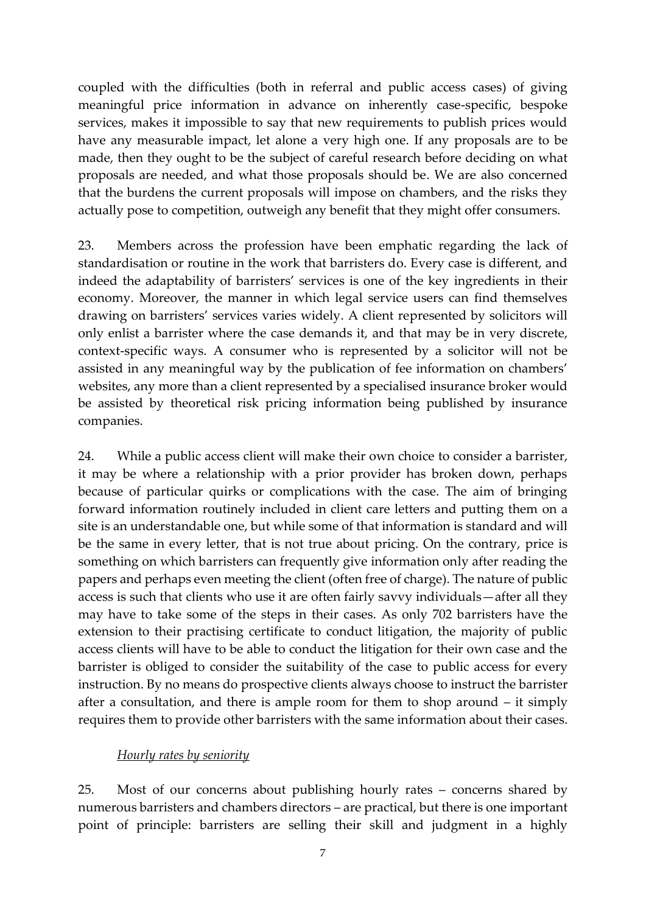coupled with the difficulties (both in referral and public access cases) of giving meaningful price information in advance on inherently case-specific, bespoke services, makes it impossible to say that new requirements to publish prices would have any measurable impact, let alone a very high one. If any proposals are to be made, then they ought to be the subject of careful research before deciding on what proposals are needed, and what those proposals should be. We are also concerned that the burdens the current proposals will impose on chambers, and the risks they actually pose to competition, outweigh any benefit that they might offer consumers.

23. Members across the profession have been emphatic regarding the lack of standardisation or routine in the work that barristers do. Every case is different, and indeed the adaptability of barristers' services is one of the key ingredients in their economy. Moreover, the manner in which legal service users can find themselves drawing on barristers' services varies widely. A client represented by solicitors will only enlist a barrister where the case demands it, and that may be in very discrete, context-specific ways. A consumer who is represented by a solicitor will not be assisted in any meaningful way by the publication of fee information on chambers' websites, any more than a client represented by a specialised insurance broker would be assisted by theoretical risk pricing information being published by insurance companies.

24. While a public access client will make their own choice to consider a barrister, it may be where a relationship with a prior provider has broken down, perhaps because of particular quirks or complications with the case. The aim of bringing forward information routinely included in client care letters and putting them on a site is an understandable one, but while some of that information is standard and will be the same in every letter, that is not true about pricing. On the contrary, price is something on which barristers can frequently give information only after reading the papers and perhaps even meeting the client (often free of charge). The nature of public access is such that clients who use it are often fairly savvy individuals—after all they may have to take some of the steps in their cases. As only 702 barristers have the extension to their practising certificate to conduct litigation, the majority of public access clients will have to be able to conduct the litigation for their own case and the barrister is obliged to consider the suitability of the case to public access for every instruction. By no means do prospective clients always choose to instruct the barrister after a consultation, and there is ample room for them to shop around – it simply requires them to provide other barristers with the same information about their cases.

#### *Hourly rates by seniority*

25. Most of our concerns about publishing hourly rates – concerns shared by numerous barristers and chambers directors – are practical, but there is one important point of principle: barristers are selling their skill and judgment in a highly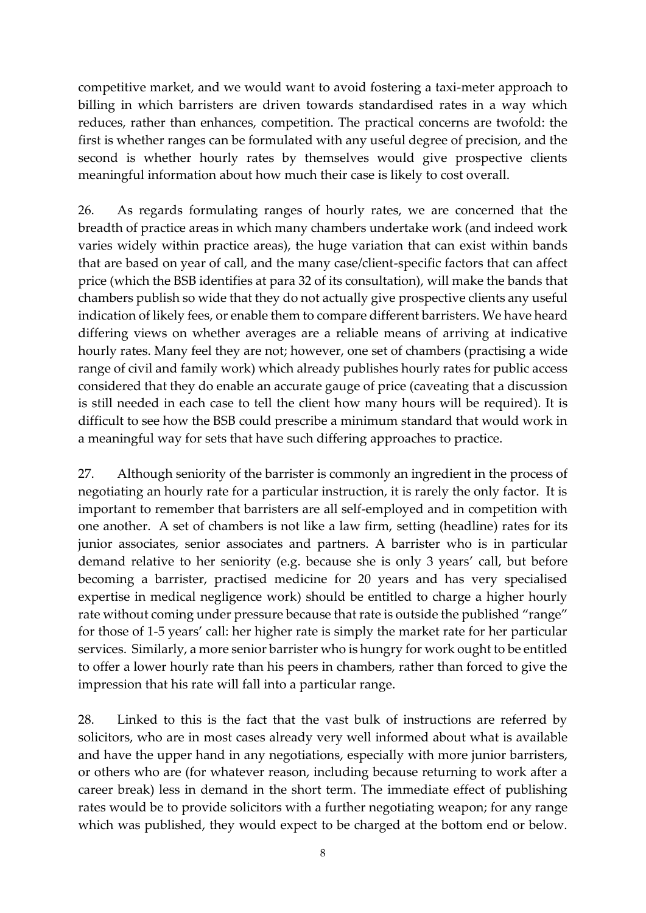competitive market, and we would want to avoid fostering a taxi-meter approach to billing in which barristers are driven towards standardised rates in a way which reduces, rather than enhances, competition. The practical concerns are twofold: the first is whether ranges can be formulated with any useful degree of precision, and the second is whether hourly rates by themselves would give prospective clients meaningful information about how much their case is likely to cost overall.

26. As regards formulating ranges of hourly rates, we are concerned that the breadth of practice areas in which many chambers undertake work (and indeed work varies widely within practice areas), the huge variation that can exist within bands that are based on year of call, and the many case/client-specific factors that can affect price (which the BSB identifies at para 32 of its consultation), will make the bands that chambers publish so wide that they do not actually give prospective clients any useful indication of likely fees, or enable them to compare different barristers. We have heard differing views on whether averages are a reliable means of arriving at indicative hourly rates. Many feel they are not; however, one set of chambers (practising a wide range of civil and family work) which already publishes hourly rates for public access considered that they do enable an accurate gauge of price (caveating that a discussion is still needed in each case to tell the client how many hours will be required). It is difficult to see how the BSB could prescribe a minimum standard that would work in a meaningful way for sets that have such differing approaches to practice.

27. Although seniority of the barrister is commonly an ingredient in the process of negotiating an hourly rate for a particular instruction, it is rarely the only factor. It is important to remember that barristers are all self-employed and in competition with one another. A set of chambers is not like a law firm, setting (headline) rates for its junior associates, senior associates and partners. A barrister who is in particular demand relative to her seniority (e.g. because she is only 3 years' call, but before becoming a barrister, practised medicine for 20 years and has very specialised expertise in medical negligence work) should be entitled to charge a higher hourly rate without coming under pressure because that rate is outside the published "range" for those of 1-5 years' call: her higher rate is simply the market rate for her particular services. Similarly, a more senior barrister who is hungry for work ought to be entitled to offer a lower hourly rate than his peers in chambers, rather than forced to give the impression that his rate will fall into a particular range.

28. Linked to this is the fact that the vast bulk of instructions are referred by solicitors, who are in most cases already very well informed about what is available and have the upper hand in any negotiations, especially with more junior barristers, or others who are (for whatever reason, including because returning to work after a career break) less in demand in the short term. The immediate effect of publishing rates would be to provide solicitors with a further negotiating weapon; for any range which was published, they would expect to be charged at the bottom end or below.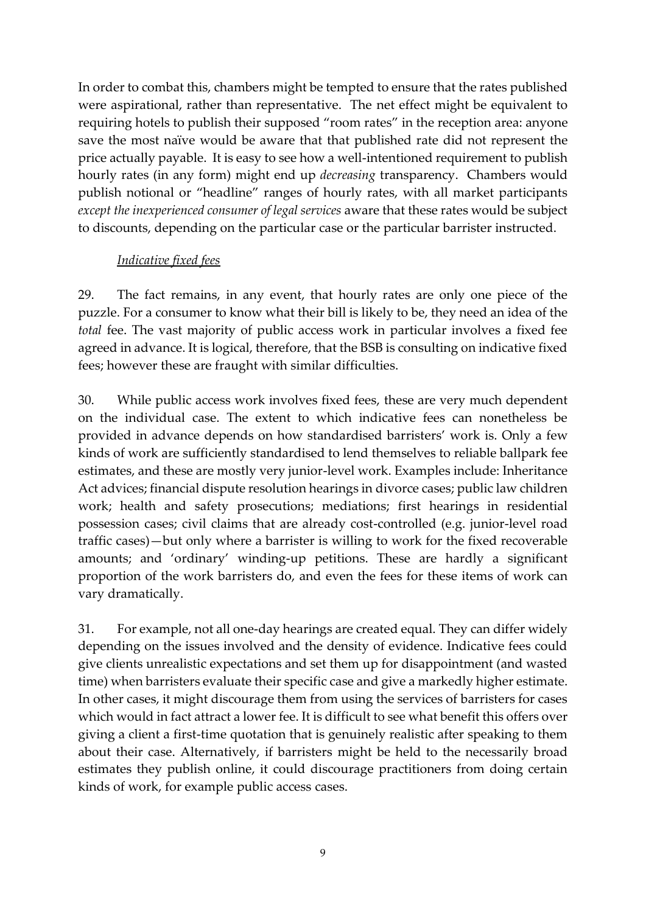In order to combat this, chambers might be tempted to ensure that the rates published were aspirational, rather than representative. The net effect might be equivalent to requiring hotels to publish their supposed "room rates" in the reception area: anyone save the most naïve would be aware that that published rate did not represent the price actually payable. It is easy to see how a well-intentioned requirement to publish hourly rates (in any form) might end up *decreasing* transparency. Chambers would publish notional or "headline" ranges of hourly rates, with all market participants *except the inexperienced consumer of legal services* aware that these rates would be subject to discounts, depending on the particular case or the particular barrister instructed.

#### *Indicative fixed fees*

29. The fact remains, in any event, that hourly rates are only one piece of the puzzle. For a consumer to know what their bill is likely to be, they need an idea of the *total* fee. The vast majority of public access work in particular involves a fixed fee agreed in advance. It is logical, therefore, that the BSB is consulting on indicative fixed fees; however these are fraught with similar difficulties.

30. While public access work involves fixed fees, these are very much dependent on the individual case. The extent to which indicative fees can nonetheless be provided in advance depends on how standardised barristers' work is. Only a few kinds of work are sufficiently standardised to lend themselves to reliable ballpark fee estimates, and these are mostly very junior-level work. Examples include: Inheritance Act advices; financial dispute resolution hearings in divorce cases; public law children work; health and safety prosecutions; mediations; first hearings in residential possession cases; civil claims that are already cost-controlled (e.g. junior-level road traffic cases)—but only where a barrister is willing to work for the fixed recoverable amounts; and 'ordinary' winding-up petitions. These are hardly a significant proportion of the work barristers do, and even the fees for these items of work can vary dramatically.

31. For example, not all one-day hearings are created equal. They can differ widely depending on the issues involved and the density of evidence. Indicative fees could give clients unrealistic expectations and set them up for disappointment (and wasted time) when barristers evaluate their specific case and give a markedly higher estimate. In other cases, it might discourage them from using the services of barristers for cases which would in fact attract a lower fee. It is difficult to see what benefit this offers over giving a client a first-time quotation that is genuinely realistic after speaking to them about their case. Alternatively, if barristers might be held to the necessarily broad estimates they publish online, it could discourage practitioners from doing certain kinds of work, for example public access cases.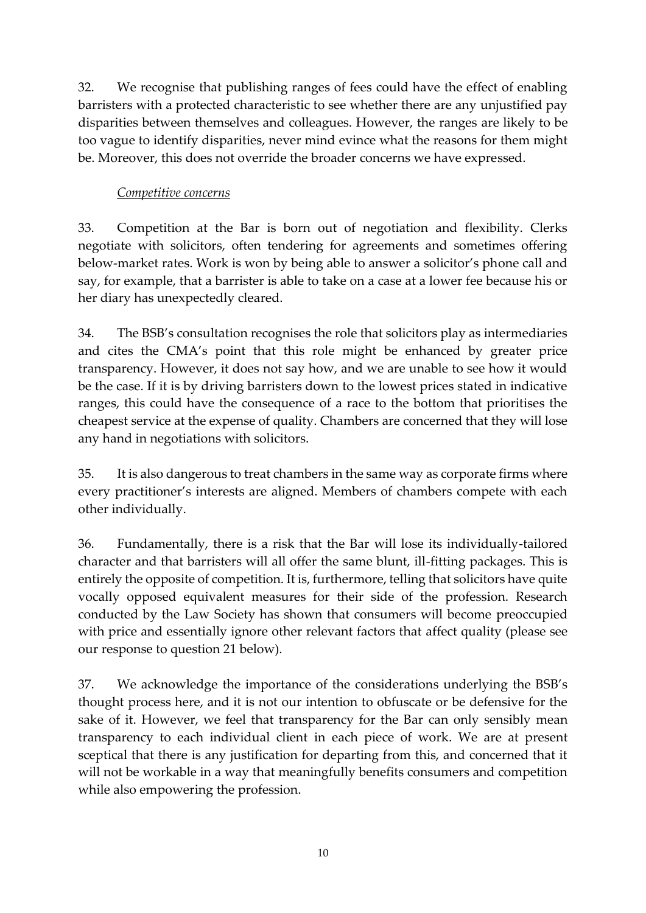32. We recognise that publishing ranges of fees could have the effect of enabling barristers with a protected characteristic to see whether there are any unjustified pay disparities between themselves and colleagues. However, the ranges are likely to be too vague to identify disparities, never mind evince what the reasons for them might be. Moreover, this does not override the broader concerns we have expressed.

### *Competitive concerns*

33. Competition at the Bar is born out of negotiation and flexibility. Clerks negotiate with solicitors, often tendering for agreements and sometimes offering below-market rates. Work is won by being able to answer a solicitor's phone call and say, for example, that a barrister is able to take on a case at a lower fee because his or her diary has unexpectedly cleared.

34. The BSB's consultation recognises the role that solicitors play as intermediaries and cites the CMA's point that this role might be enhanced by greater price transparency. However, it does not say how, and we are unable to see how it would be the case. If it is by driving barristers down to the lowest prices stated in indicative ranges, this could have the consequence of a race to the bottom that prioritises the cheapest service at the expense of quality. Chambers are concerned that they will lose any hand in negotiations with solicitors.

35. It is also dangerous to treat chambers in the same way as corporate firms where every practitioner's interests are aligned. Members of chambers compete with each other individually.

36. Fundamentally, there is a risk that the Bar will lose its individually-tailored character and that barristers will all offer the same blunt, ill-fitting packages. This is entirely the opposite of competition. It is, furthermore, telling that solicitors have quite vocally opposed equivalent measures for their side of the profession. Research conducted by the Law Society has shown that consumers will become preoccupied with price and essentially ignore other relevant factors that affect quality (please see our response to question 21 below).

37. We acknowledge the importance of the considerations underlying the BSB's thought process here, and it is not our intention to obfuscate or be defensive for the sake of it. However, we feel that transparency for the Bar can only sensibly mean transparency to each individual client in each piece of work. We are at present sceptical that there is any justification for departing from this, and concerned that it will not be workable in a way that meaningfully benefits consumers and competition while also empowering the profession.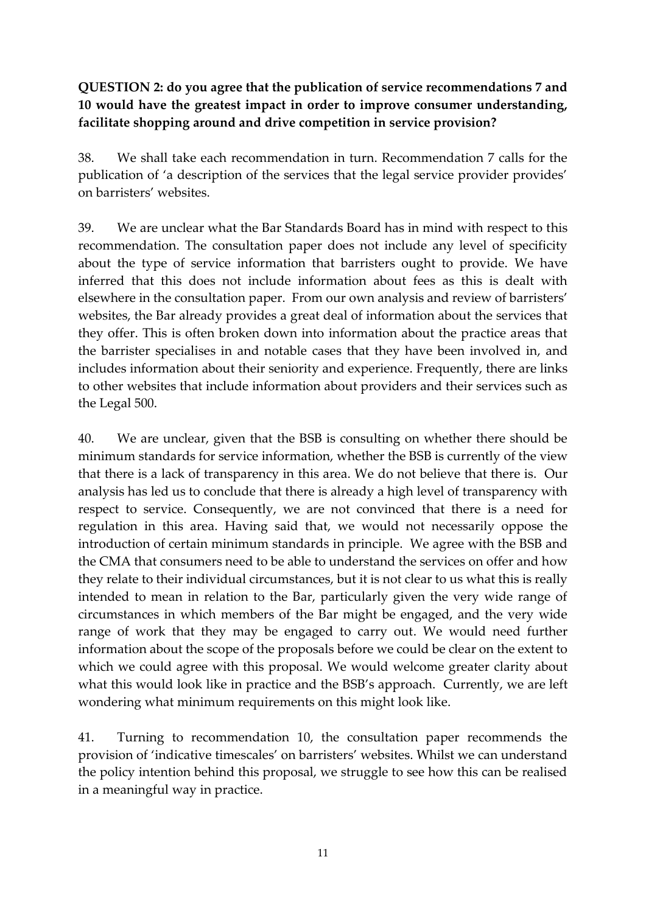## **QUESTION 2: do you agree that the publication of service recommendations 7 and 10 would have the greatest impact in order to improve consumer understanding, facilitate shopping around and drive competition in service provision?**

38. We shall take each recommendation in turn. Recommendation 7 calls for the publication of 'a description of the services that the legal service provider provides' on barristers' websites.

39. We are unclear what the Bar Standards Board has in mind with respect to this recommendation. The consultation paper does not include any level of specificity about the type of service information that barristers ought to provide. We have inferred that this does not include information about fees as this is dealt with elsewhere in the consultation paper. From our own analysis and review of barristers' websites, the Bar already provides a great deal of information about the services that they offer. This is often broken down into information about the practice areas that the barrister specialises in and notable cases that they have been involved in, and includes information about their seniority and experience. Frequently, there are links to other websites that include information about providers and their services such as the Legal 500.

40. We are unclear, given that the BSB is consulting on whether there should be minimum standards for service information, whether the BSB is currently of the view that there is a lack of transparency in this area. We do not believe that there is. Our analysis has led us to conclude that there is already a high level of transparency with respect to service. Consequently, we are not convinced that there is a need for regulation in this area. Having said that, we would not necessarily oppose the introduction of certain minimum standards in principle. We agree with the BSB and the CMA that consumers need to be able to understand the services on offer and how they relate to their individual circumstances, but it is not clear to us what this is really intended to mean in relation to the Bar, particularly given the very wide range of circumstances in which members of the Bar might be engaged, and the very wide range of work that they may be engaged to carry out. We would need further information about the scope of the proposals before we could be clear on the extent to which we could agree with this proposal. We would welcome greater clarity about what this would look like in practice and the BSB's approach. Currently, we are left wondering what minimum requirements on this might look like.

41. Turning to recommendation 10, the consultation paper recommends the provision of 'indicative timescales' on barristers' websites. Whilst we can understand the policy intention behind this proposal, we struggle to see how this can be realised in a meaningful way in practice.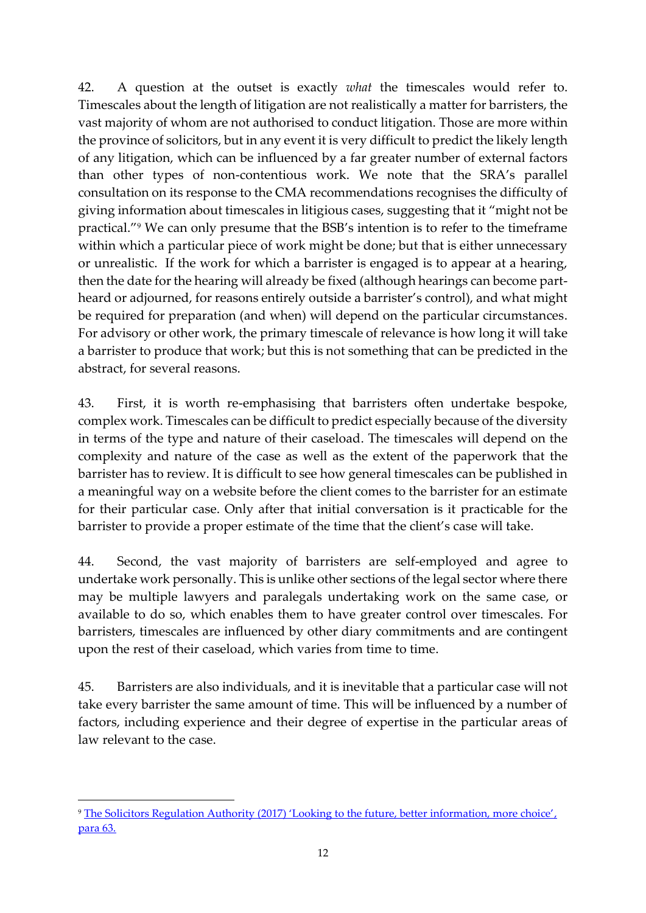42. A question at the outset is exactly *what* the timescales would refer to. Timescales about the length of litigation are not realistically a matter for barristers, the vast majority of whom are not authorised to conduct litigation. Those are more within the province of solicitors, but in any event it is very difficult to predict the likely length of any litigation, which can be influenced by a far greater number of external factors than other types of non-contentious work. We note that the SRA's parallel consultation on its response to the CMA recommendations recognises the difficulty of giving information about timescales in litigious cases, suggesting that it "might not be practical." <sup>9</sup> We can only presume that the BSB's intention is to refer to the timeframe within which a particular piece of work might be done; but that is either unnecessary or unrealistic. If the work for which a barrister is engaged is to appear at a hearing, then the date for the hearing will already be fixed (although hearings can become partheard or adjourned, for reasons entirely outside a barrister's control), and what might be required for preparation (and when) will depend on the particular circumstances. For advisory or other work, the primary timescale of relevance is how long it will take a barrister to produce that work; but this is not something that can be predicted in the abstract, for several reasons.

43. First, it is worth re-emphasising that barristers often undertake bespoke, complex work. Timescales can be difficult to predict especially because of the diversity in terms of the type and nature of their caseload. The timescales will depend on the complexity and nature of the case as well as the extent of the paperwork that the barrister has to review. It is difficult to see how general timescales can be published in a meaningful way on a website before the client comes to the barrister for an estimate for their particular case. Only after that initial conversation is it practicable for the barrister to provide a proper estimate of the time that the client's case will take.

44. Second, the vast majority of barristers are self-employed and agree to undertake work personally. This is unlike other sections of the legal sector where there may be multiple lawyers and paralegals undertaking work on the same case, or available to do so, which enables them to have greater control over timescales. For barristers, timescales are influenced by other diary commitments and are contingent upon the rest of their caseload, which varies from time to time.

45. Barristers are also individuals, and it is inevitable that a particular case will not take every barrister the same amount of time. This will be influenced by a number of factors, including experience and their degree of expertise in the particular areas of law relevant to the case.

**.** 

<sup>9</sup> [The Solicitors Regulation Authority \(2017\) 'Looking to the future, better information, more choice'](https://www.sra.org.uk/sra/consultations/lttf-better-information-consultation.page#download), para 63.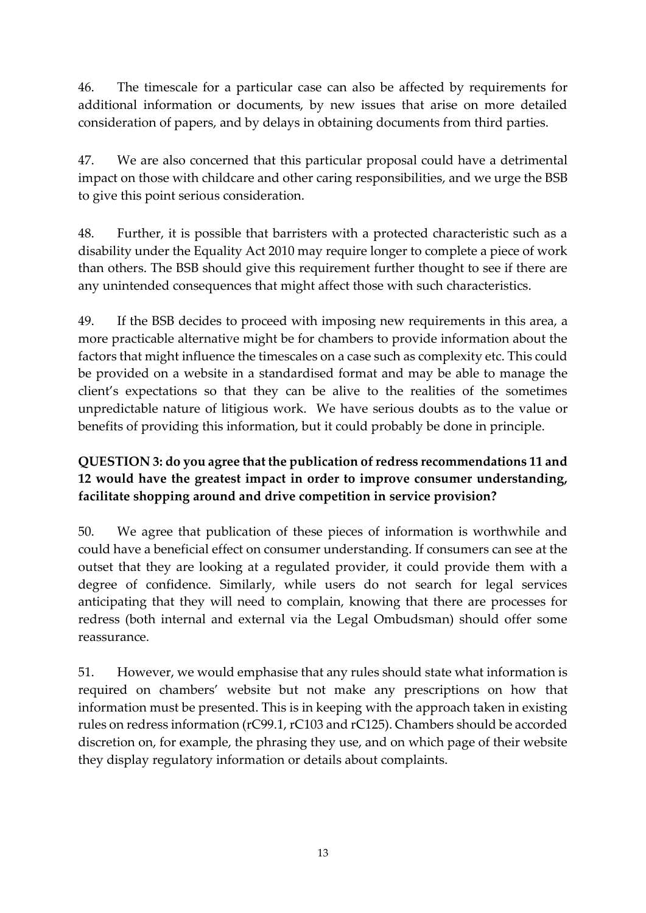46. The timescale for a particular case can also be affected by requirements for additional information or documents, by new issues that arise on more detailed consideration of papers, and by delays in obtaining documents from third parties.

47. We are also concerned that this particular proposal could have a detrimental impact on those with childcare and other caring responsibilities, and we urge the BSB to give this point serious consideration.

48. Further, it is possible that barristers with a protected characteristic such as a disability under the Equality Act 2010 may require longer to complete a piece of work than others. The BSB should give this requirement further thought to see if there are any unintended consequences that might affect those with such characteristics.

49. If the BSB decides to proceed with imposing new requirements in this area, a more practicable alternative might be for chambers to provide information about the factors that might influence the timescales on a case such as complexity etc. This could be provided on a website in a standardised format and may be able to manage the client's expectations so that they can be alive to the realities of the sometimes unpredictable nature of litigious work. We have serious doubts as to the value or benefits of providing this information, but it could probably be done in principle.

# **QUESTION 3: do you agree that the publication of redress recommendations 11 and 12 would have the greatest impact in order to improve consumer understanding, facilitate shopping around and drive competition in service provision?**

50. We agree that publication of these pieces of information is worthwhile and could have a beneficial effect on consumer understanding. If consumers can see at the outset that they are looking at a regulated provider, it could provide them with a degree of confidence. Similarly, while users do not search for legal services anticipating that they will need to complain, knowing that there are processes for redress (both internal and external via the Legal Ombudsman) should offer some reassurance.

51. However, we would emphasise that any rules should state what information is required on chambers' website but not make any prescriptions on how that information must be presented. This is in keeping with the approach taken in existing rules on redress information (rC99.1, rC103 and rC125). Chambers should be accorded discretion on, for example, the phrasing they use, and on which page of their website they display regulatory information or details about complaints.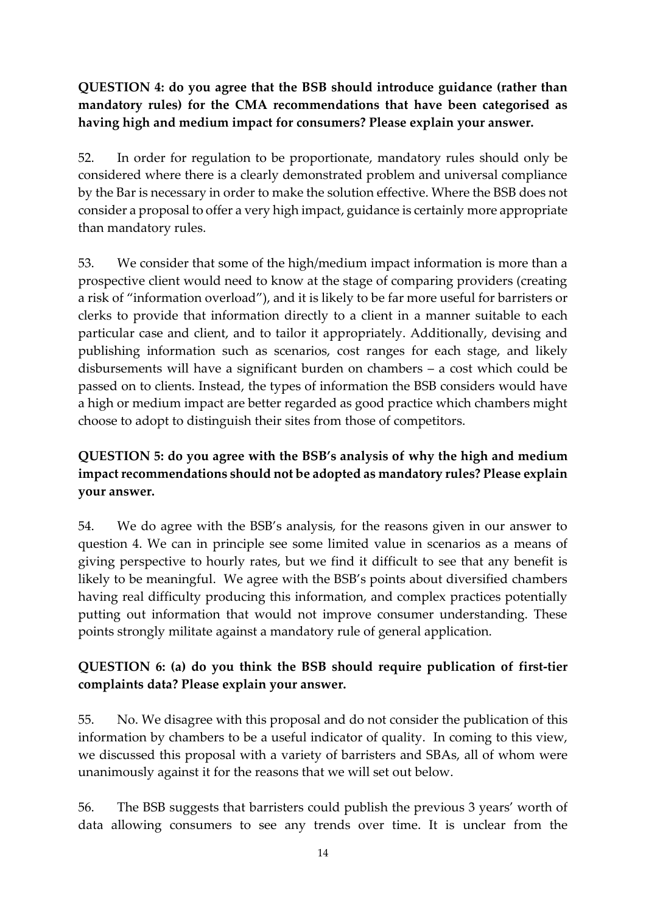## **QUESTION 4: do you agree that the BSB should introduce guidance (rather than mandatory rules) for the CMA recommendations that have been categorised as having high and medium impact for consumers? Please explain your answer.**

52. In order for regulation to be proportionate, mandatory rules should only be considered where there is a clearly demonstrated problem and universal compliance by the Bar is necessary in order to make the solution effective. Where the BSB does not consider a proposal to offer a very high impact, guidance is certainly more appropriate than mandatory rules.

53. We consider that some of the high/medium impact information is more than a prospective client would need to know at the stage of comparing providers (creating a risk of "information overload"), and it is likely to be far more useful for barristers or clerks to provide that information directly to a client in a manner suitable to each particular case and client, and to tailor it appropriately. Additionally, devising and publishing information such as scenarios, cost ranges for each stage, and likely disbursements will have a significant burden on chambers – a cost which could be passed on to clients. Instead, the types of information the BSB considers would have a high or medium impact are better regarded as good practice which chambers might choose to adopt to distinguish their sites from those of competitors.

# **QUESTION 5: do you agree with the BSB's analysis of why the high and medium impact recommendations should not be adopted as mandatory rules? Please explain your answer.**

54. We do agree with the BSB's analysis, for the reasons given in our answer to question 4. We can in principle see some limited value in scenarios as a means of giving perspective to hourly rates, but we find it difficult to see that any benefit is likely to be meaningful. We agree with the BSB's points about diversified chambers having real difficulty producing this information, and complex practices potentially putting out information that would not improve consumer understanding. These points strongly militate against a mandatory rule of general application.

### **QUESTION 6: (a) do you think the BSB should require publication of first-tier complaints data? Please explain your answer.**

55. No. We disagree with this proposal and do not consider the publication of this information by chambers to be a useful indicator of quality. In coming to this view, we discussed this proposal with a variety of barristers and SBAs, all of whom were unanimously against it for the reasons that we will set out below.

56. The BSB suggests that barristers could publish the previous 3 years' worth of data allowing consumers to see any trends over time. It is unclear from the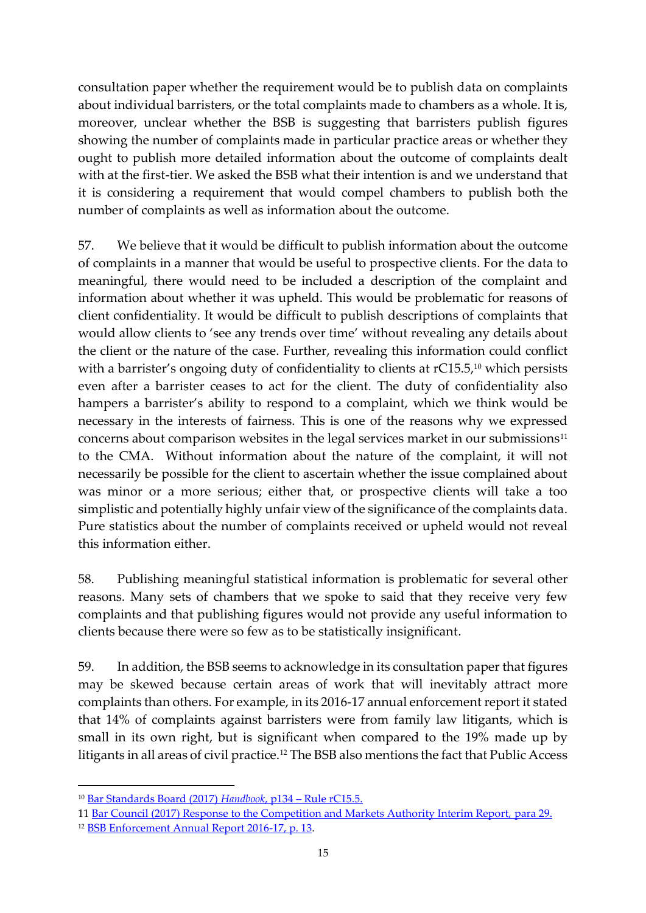consultation paper whether the requirement would be to publish data on complaints about individual barristers, or the total complaints made to chambers as a whole. It is, moreover, unclear whether the BSB is suggesting that barristers publish figures showing the number of complaints made in particular practice areas or whether they ought to publish more detailed information about the outcome of complaints dealt with at the first-tier. We asked the BSB what their intention is and we understand that it is considering a requirement that would compel chambers to publish both the number of complaints as well as information about the outcome.

57. We believe that it would be difficult to publish information about the outcome of complaints in a manner that would be useful to prospective clients. For the data to meaningful, there would need to be included a description of the complaint and information about whether it was upheld. This would be problematic for reasons of client confidentiality. It would be difficult to publish descriptions of complaints that would allow clients to 'see any trends over time' without revealing any details about the client or the nature of the case. Further, revealing this information could conflict with a barrister's ongoing duty of confidentiality to clients at rC15.5, <sup>10</sup> which persists even after a barrister ceases to act for the client. The duty of confidentiality also hampers a barrister's ability to respond to a complaint, which we think would be necessary in the interests of fairness. This is one of the reasons why we expressed concerns about comparison websites in the legal services market in our submissions $11$ to the CMA. Without information about the nature of the complaint, it will not necessarily be possible for the client to ascertain whether the issue complained about was minor or a more serious; either that, or prospective clients will take a too simplistic and potentially highly unfair view of the significance of the complaints data. Pure statistics about the number of complaints received or upheld would not reveal this information either.

58. Publishing meaningful statistical information is problematic for several other reasons. Many sets of chambers that we spoke to said that they receive very few complaints and that publishing figures would not provide any useful information to clients because there were so few as to be statistically insignificant.

59. In addition, the BSB seems to acknowledge in its consultation paper that figures may be skewed because certain areas of work that will inevitably attract more complaints than others. For example, in its 2016-17 annual enforcement report it stated that 14% of complaints against barristers were from family law litigants, which is small in its own right, but is significant when compared to the 19% made up by litigants in all areas of civil practice. <sup>12</sup> The BSB also mentions the fact that Public Access

- 11 [Bar Council \(2017\) Response to the Competition and Markets Authority Interim Report,](mailto:http://www.barcouncil.org.uk/media/441133/bar_council_response_to_cma_follow_up_questions_22_04_16_final.pdf) para 29.
- <sup>12</sup> [BSB Enforcement Annual Report 2016-17, p. 13.](mailto:https://www.barstandardsboard.org.uk/media/1840358/2016-17_-_enforcement_report_-_final_draft_v7.pdf)

**.** 

<sup>10</sup> [Bar Standards Board \(2017\)](https://www.barstandardsboard.org.uk/media/1901336/bsb_handbook_version_3.1_november_2017.pdf) *Handbook*, p134 – Rule rC15.5.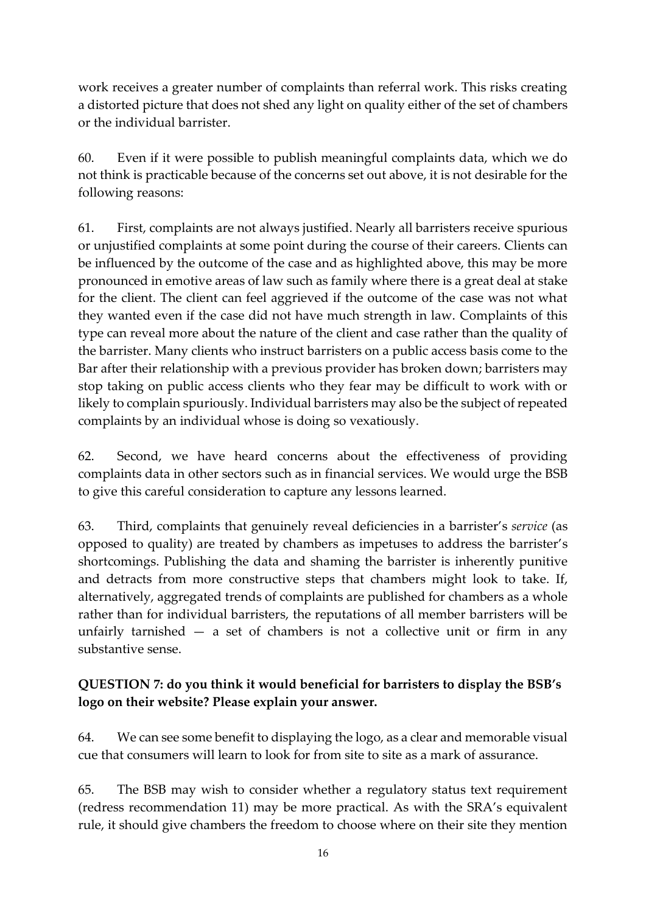work receives a greater number of complaints than referral work. This risks creating a distorted picture that does not shed any light on quality either of the set of chambers or the individual barrister.

60. Even if it were possible to publish meaningful complaints data, which we do not think is practicable because of the concerns set out above, it is not desirable for the following reasons:

61. First, complaints are not always justified. Nearly all barristers receive spurious or unjustified complaints at some point during the course of their careers. Clients can be influenced by the outcome of the case and as highlighted above, this may be more pronounced in emotive areas of law such as family where there is a great deal at stake for the client. The client can feel aggrieved if the outcome of the case was not what they wanted even if the case did not have much strength in law. Complaints of this type can reveal more about the nature of the client and case rather than the quality of the barrister. Many clients who instruct barristers on a public access basis come to the Bar after their relationship with a previous provider has broken down; barristers may stop taking on public access clients who they fear may be difficult to work with or likely to complain spuriously. Individual barristers may also be the subject of repeated complaints by an individual whose is doing so vexatiously.

62. Second, we have heard concerns about the effectiveness of providing complaints data in other sectors such as in financial services. We would urge the BSB to give this careful consideration to capture any lessons learned.

63. Third, complaints that genuinely reveal deficiencies in a barrister's *service* (as opposed to quality) are treated by chambers as impetuses to address the barrister's shortcomings. Publishing the data and shaming the barrister is inherently punitive and detracts from more constructive steps that chambers might look to take. If, alternatively, aggregated trends of complaints are published for chambers as a whole rather than for individual barristers, the reputations of all member barristers will be unfairly tarnished  $-$  a set of chambers is not a collective unit or firm in any substantive sense.

### **QUESTION 7: do you think it would beneficial for barristers to display the BSB's logo on their website? Please explain your answer.**

64. We can see some benefit to displaying the logo, as a clear and memorable visual cue that consumers will learn to look for from site to site as a mark of assurance.

65. The BSB may wish to consider whether a regulatory status text requirement (redress recommendation 11) may be more practical. As with the SRA's equivalent rule, it should give chambers the freedom to choose where on their site they mention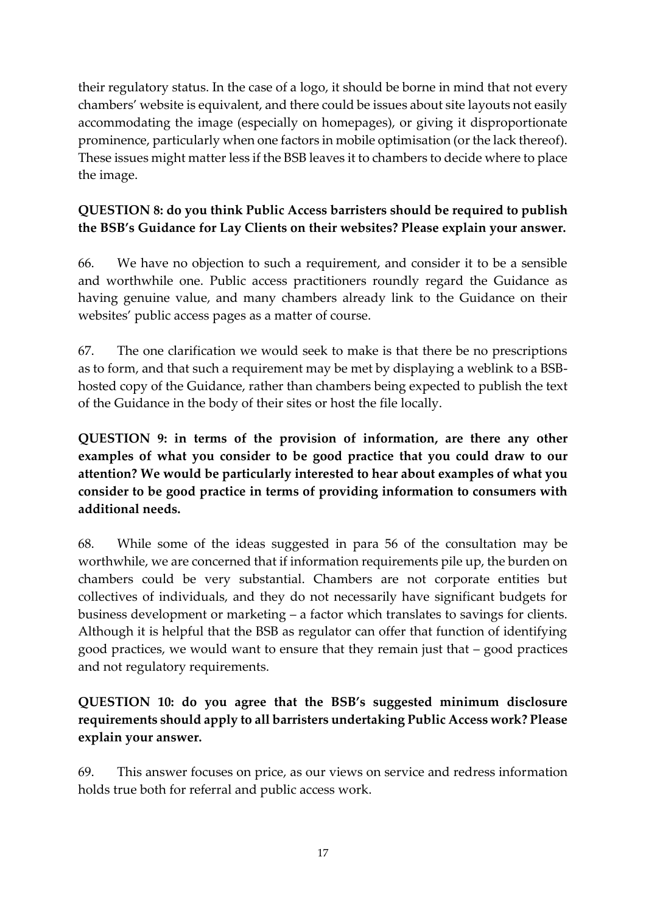their regulatory status. In the case of a logo, it should be borne in mind that not every chambers' website is equivalent, and there could be issues about site layouts not easily accommodating the image (especially on homepages), or giving it disproportionate prominence, particularly when one factors in mobile optimisation (or the lack thereof). These issues might matter less if the BSB leaves it to chambers to decide where to place the image.

# **QUESTION 8: do you think Public Access barristers should be required to publish the BSB's Guidance for Lay Clients on their websites? Please explain your answer.**

66. We have no objection to such a requirement, and consider it to be a sensible and worthwhile one. Public access practitioners roundly regard the Guidance as having genuine value, and many chambers already link to the Guidance on their websites' public access pages as a matter of course.

67. The one clarification we would seek to make is that there be no prescriptions as to form, and that such a requirement may be met by displaying a weblink to a BSBhosted copy of the Guidance, rather than chambers being expected to publish the text of the Guidance in the body of their sites or host the file locally.

**QUESTION 9: in terms of the provision of information, are there any other examples of what you consider to be good practice that you could draw to our attention? We would be particularly interested to hear about examples of what you consider to be good practice in terms of providing information to consumers with additional needs.**

68. While some of the ideas suggested in para 56 of the consultation may be worthwhile, we are concerned that if information requirements pile up, the burden on chambers could be very substantial. Chambers are not corporate entities but collectives of individuals, and they do not necessarily have significant budgets for business development or marketing – a factor which translates to savings for clients. Although it is helpful that the BSB as regulator can offer that function of identifying good practices, we would want to ensure that they remain just that – good practices and not regulatory requirements.

## **QUESTION 10: do you agree that the BSB's suggested minimum disclosure requirements should apply to all barristers undertaking Public Access work? Please explain your answer.**

69. This answer focuses on price, as our views on service and redress information holds true both for referral and public access work.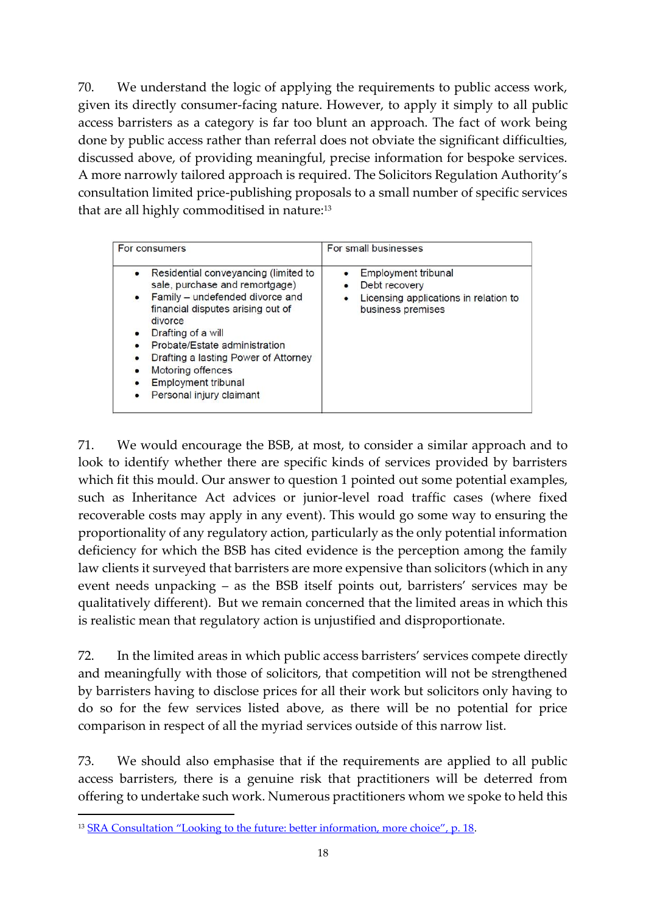70. We understand the logic of applying the requirements to public access work, given its directly consumer-facing nature. However, to apply it simply to all public access barristers as a category is far too blunt an approach. The fact of work being done by public access rather than referral does not obviate the significant difficulties, discussed above, of providing meaningful, precise information for bespoke services. A more narrowly tailored approach is required. The Solicitors Regulation Authority's consultation limited price-publishing proposals to a small number of specific services that are all highly commoditised in nature:<sup>13</sup>

| For consumers                                                                                                                                                                                                                                                                                                                                 | For small businesses                                                                               |
|-----------------------------------------------------------------------------------------------------------------------------------------------------------------------------------------------------------------------------------------------------------------------------------------------------------------------------------------------|----------------------------------------------------------------------------------------------------|
| Residential conveyancing (limited to<br>$\bullet$<br>sale, purchase and remortgage)<br>Family - undefended divorce and<br>financial disputes arising out of<br>divorce<br>Drafting of a will<br>Probate/Estate administration<br>Drafting a lasting Power of Attorney<br>Motoring offences<br>Employment tribunal<br>Personal injury claimant | Employment tribunal<br>Debt recovery<br>Licensing applications in relation to<br>business premises |

71. We would encourage the BSB, at most, to consider a similar approach and to look to identify whether there are specific kinds of services provided by barristers which fit this mould. Our answer to question 1 pointed out some potential examples, such as Inheritance Act advices or junior-level road traffic cases (where fixed recoverable costs may apply in any event). This would go some way to ensuring the proportionality of any regulatory action, particularly as the only potential information deficiency for which the BSB has cited evidence is the perception among the family law clients it surveyed that barristers are more expensive than solicitors (which in any event needs unpacking – as the BSB itself points out, barristers' services may be qualitatively different). But we remain concerned that the limited areas in which this is realistic mean that regulatory action is unjustified and disproportionate.

72. In the limited areas in which public access barristers' services compete directly and meaningfully with those of solicitors, that competition will not be strengthened by barristers having to disclose prices for all their work but solicitors only having to do so for the few services listed above, as there will be no potential for price comparison in respect of all the myriad services outside of this narrow list.

73. We should also emphasise that if the requirements are applied to all public access barristers, there is a genuine risk that practitioners will be deterred from offering to undertake such work. Numerous practitioners whom we spoke to held this

 $\overline{a}$ 

<sup>&</sup>lt;sup>13</sup> [SRA Consultation "Looking to the future: better information, more choice", p. 18](mailto:https://www.sra.org.uk/documents/SRA/consultations/better-info-consultation.pdf).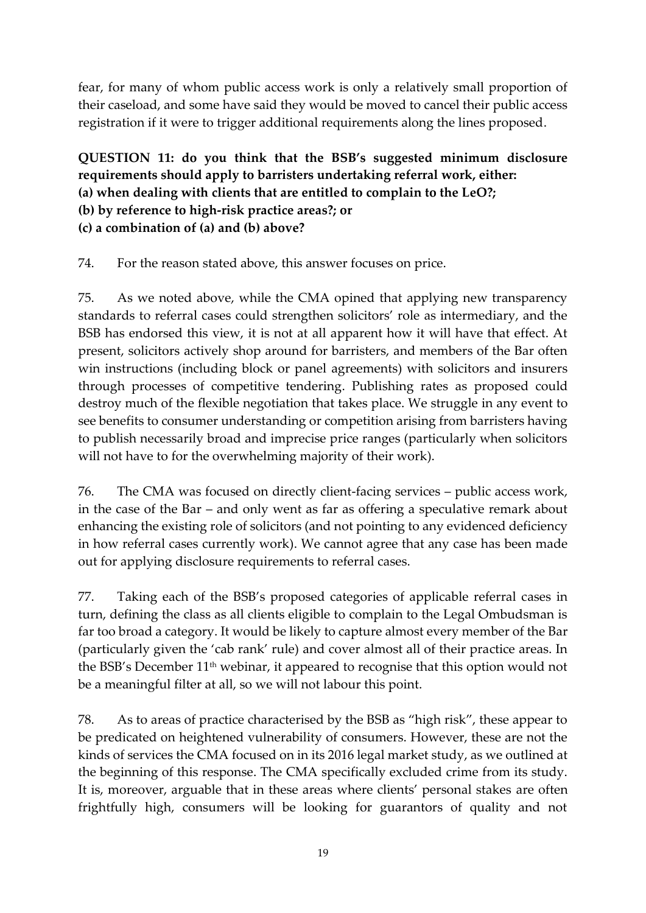fear, for many of whom public access work is only a relatively small proportion of their caseload, and some have said they would be moved to cancel their public access registration if it were to trigger additional requirements along the lines proposed.

**QUESTION 11: do you think that the BSB's suggested minimum disclosure requirements should apply to barristers undertaking referral work, either: (a) when dealing with clients that are entitled to complain to the LeO?; (b) by reference to high-risk practice areas?; or (c) a combination of (a) and (b) above?**

74. For the reason stated above, this answer focuses on price.

75. As we noted above, while the CMA opined that applying new transparency standards to referral cases could strengthen solicitors' role as intermediary, and the BSB has endorsed this view, it is not at all apparent how it will have that effect. At present, solicitors actively shop around for barristers, and members of the Bar often win instructions (including block or panel agreements) with solicitors and insurers through processes of competitive tendering. Publishing rates as proposed could destroy much of the flexible negotiation that takes place. We struggle in any event to see benefits to consumer understanding or competition arising from barristers having to publish necessarily broad and imprecise price ranges (particularly when solicitors will not have to for the overwhelming majority of their work).

76. The CMA was focused on directly client-facing services – public access work, in the case of the Bar – and only went as far as offering a speculative remark about enhancing the existing role of solicitors (and not pointing to any evidenced deficiency in how referral cases currently work). We cannot agree that any case has been made out for applying disclosure requirements to referral cases.

77. Taking each of the BSB's proposed categories of applicable referral cases in turn, defining the class as all clients eligible to complain to the Legal Ombudsman is far too broad a category. It would be likely to capture almost every member of the Bar (particularly given the 'cab rank' rule) and cover almost all of their practice areas. In the BSB's December 11th webinar, it appeared to recognise that this option would not be a meaningful filter at all, so we will not labour this point.

78. As to areas of practice characterised by the BSB as "high risk", these appear to be predicated on heightened vulnerability of consumers. However, these are not the kinds of services the CMA focused on in its 2016 legal market study, as we outlined at the beginning of this response. The CMA specifically excluded crime from its study. It is, moreover, arguable that in these areas where clients' personal stakes are often frightfully high, consumers will be looking for guarantors of quality and not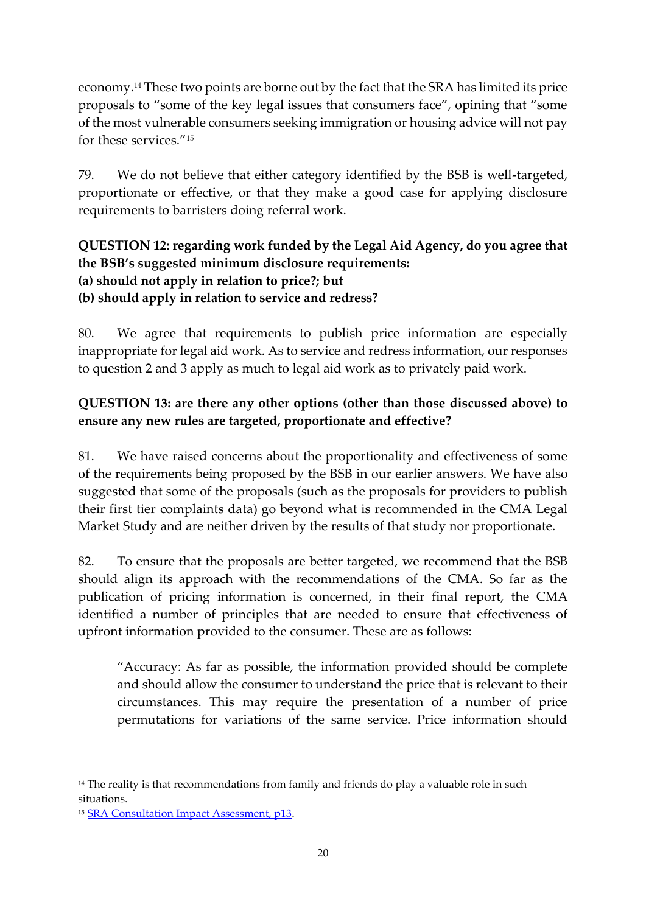economy.<sup>14</sup> These two points are borne out by the fact that the SRA has limited its price proposals to "some of the key legal issues that consumers face", opining that "some of the most vulnerable consumers seeking immigration or housing advice will not pay for these services."<sup>15</sup>

79. We do not believe that either category identified by the BSB is well-targeted, proportionate or effective, or that they make a good case for applying disclosure requirements to barristers doing referral work.

## **QUESTION 12: regarding work funded by the Legal Aid Agency, do you agree that the BSB's suggested minimum disclosure requirements: (a) should not apply in relation to price?; but (b) should apply in relation to service and redress?**

80. We agree that requirements to publish price information are especially inappropriate for legal aid work. As to service and redress information, our responses to question 2 and 3 apply as much to legal aid work as to privately paid work.

## **QUESTION 13: are there any other options (other than those discussed above) to ensure any new rules are targeted, proportionate and effective?**

81. We have raised concerns about the proportionality and effectiveness of some of the requirements being proposed by the BSB in our earlier answers. We have also suggested that some of the proposals (such as the proposals for providers to publish their first tier complaints data) go beyond what is recommended in the CMA Legal Market Study and are neither driven by the results of that study nor proportionate.

82. To ensure that the proposals are better targeted, we recommend that the BSB should align its approach with the recommendations of the CMA. So far as the publication of pricing information is concerned, in their final report, the CMA identified a number of principles that are needed to ensure that effectiveness of upfront information provided to the consumer. These are as follows:

"Accuracy: As far as possible, the information provided should be complete and should allow the consumer to understand the price that is relevant to their circumstances. This may require the presentation of a number of price permutations for variations of the same service. Price information should

**.** 

 $14$  The reality is that recommendations from family and friends do play a valuable role in such situations.

<sup>15</sup> [SRA Consultation Impact Assessment, p13.](mailto:https://www.sra.org.uk/documents/SRA/consultations/better-info-impact.pdf)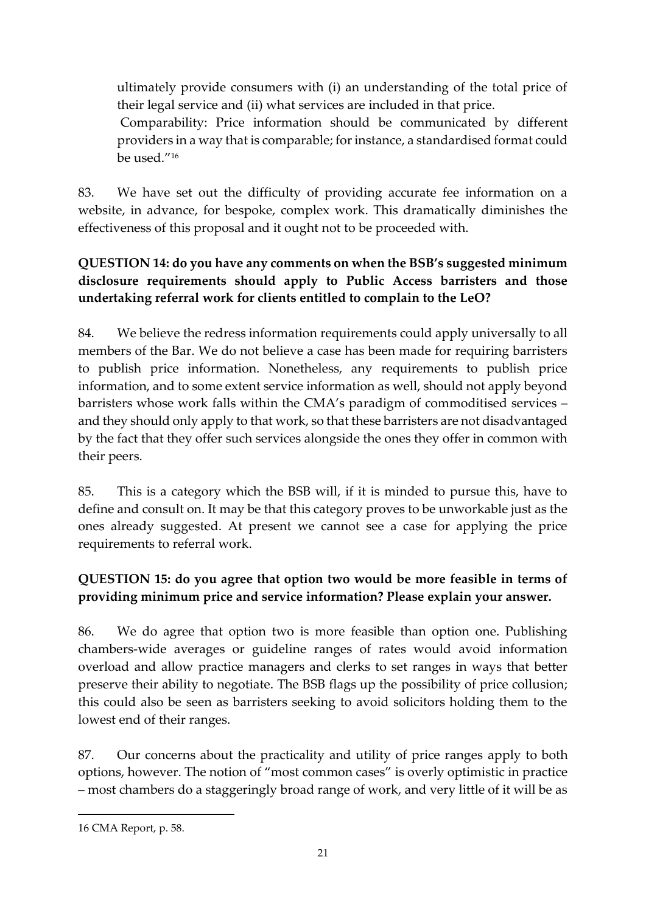ultimately provide consumers with (i) an understanding of the total price of their legal service and (ii) what services are included in that price.

Comparability: Price information should be communicated by different providers in a way that is comparable; for instance, a standardised format could be used."<sup>16</sup>

83. We have set out the difficulty of providing accurate fee information on a website, in advance, for bespoke, complex work. This dramatically diminishes the effectiveness of this proposal and it ought not to be proceeded with.

# **QUESTION 14: do you have any comments on when the BSB's suggested minimum disclosure requirements should apply to Public Access barristers and those undertaking referral work for clients entitled to complain to the LeO?**

84. We believe the redress information requirements could apply universally to all members of the Bar. We do not believe a case has been made for requiring barristers to publish price information. Nonetheless, any requirements to publish price information, and to some extent service information as well, should not apply beyond barristers whose work falls within the CMA's paradigm of commoditised services – and they should only apply to that work, so that these barristers are not disadvantaged by the fact that they offer such services alongside the ones they offer in common with their peers.

85. This is a category which the BSB will, if it is minded to pursue this, have to define and consult on. It may be that this category proves to be unworkable just as the ones already suggested. At present we cannot see a case for applying the price requirements to referral work.

# **QUESTION 15: do you agree that option two would be more feasible in terms of providing minimum price and service information? Please explain your answer.**

86. We do agree that option two is more feasible than option one. Publishing chambers-wide averages or guideline ranges of rates would avoid information overload and allow practice managers and clerks to set ranges in ways that better preserve their ability to negotiate. The BSB flags up the possibility of price collusion; this could also be seen as barristers seeking to avoid solicitors holding them to the lowest end of their ranges.

87. Our concerns about the practicality and utility of price ranges apply to both options, however. The notion of "most common cases" is overly optimistic in practice – most chambers do a staggeringly broad range of work, and very little of it will be as

 $\overline{a}$ 

<sup>16</sup> CMA Report, p. 58.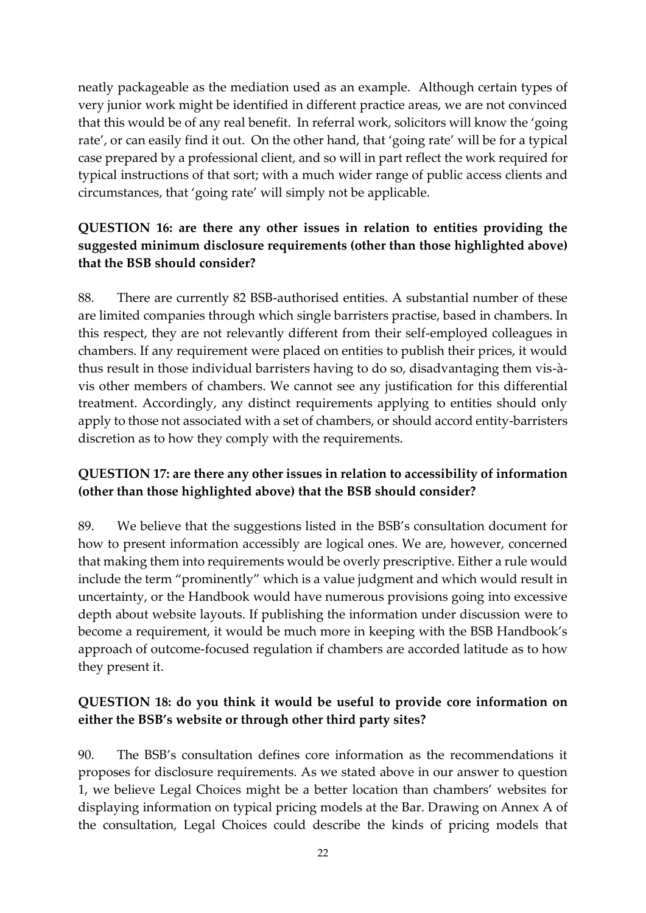neatly packageable as the mediation used as an example. Although certain types of very junior work might be identified in different practice areas, we are not convinced that this would be of any real benefit. In referral work, solicitors will know the 'going rate', or can easily find it out. On the other hand, that 'going rate' will be for a typical case prepared by a professional client, and so will in part reflect the work required for typical instructions of that sort; with a much wider range of public access clients and circumstances, that 'going rate' will simply not be applicable.

## **QUESTION 16: are there any other issues in relation to entities providing the suggested minimum disclosure requirements (other than those highlighted above) that the BSB should consider?**

88. There are currently 82 BSB-authorised entities. A substantial number of these are limited companies through which single barristers practise, based in chambers. In this respect, they are not relevantly different from their self-employed colleagues in chambers. If any requirement were placed on entities to publish their prices, it would thus result in those individual barristers having to do so, disadvantaging them vis-àvis other members of chambers. We cannot see any justification for this differential treatment. Accordingly, any distinct requirements applying to entities should only apply to those not associated with a set of chambers, or should accord entity-barristers discretion as to how they comply with the requirements.

### **QUESTION 17: are there any other issues in relation to accessibility of information (other than those highlighted above) that the BSB should consider?**

89. We believe that the suggestions listed in the BSB's consultation document for how to present information accessibly are logical ones. We are, however, concerned that making them into requirements would be overly prescriptive. Either a rule would include the term "prominently" which is a value judgment and which would result in uncertainty, or the Handbook would have numerous provisions going into excessive depth about website layouts. If publishing the information under discussion were to become a requirement, it would be much more in keeping with the BSB Handbook's approach of outcome-focused regulation if chambers are accorded latitude as to how they present it.

### **QUESTION 18: do you think it would be useful to provide core information on either the BSB's website or through other third party sites?**

90. The BSB's consultation defines core information as the recommendations it proposes for disclosure requirements. As we stated above in our answer to question 1, we believe Legal Choices might be a better location than chambers' websites for displaying information on typical pricing models at the Bar. Drawing on Annex A of the consultation, Legal Choices could describe the kinds of pricing models that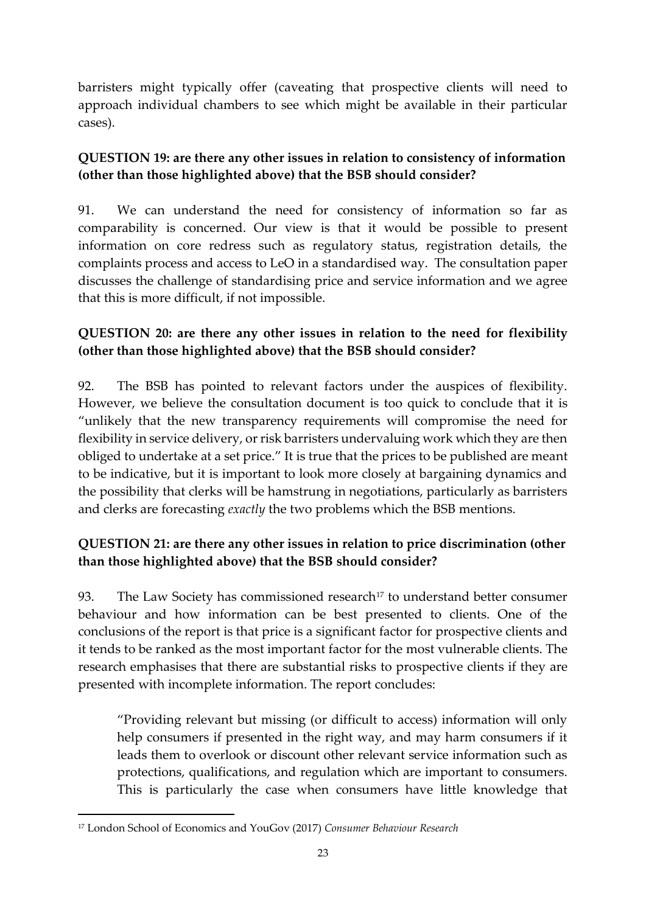barristers might typically offer (caveating that prospective clients will need to approach individual chambers to see which might be available in their particular cases).

# **QUESTION 19: are there any other issues in relation to consistency of information (other than those highlighted above) that the BSB should consider?**

91. We can understand the need for consistency of information so far as comparability is concerned. Our view is that it would be possible to present information on core redress such as regulatory status, registration details, the complaints process and access to LeO in a standardised way. The consultation paper discusses the challenge of standardising price and service information and we agree that this is more difficult, if not impossible.

# **QUESTION 20: are there any other issues in relation to the need for flexibility (other than those highlighted above) that the BSB should consider?**

92. The BSB has pointed to relevant factors under the auspices of flexibility. However, we believe the consultation document is too quick to conclude that it is "unlikely that the new transparency requirements will compromise the need for flexibility in service delivery, or risk barristers undervaluing work which they are then obliged to undertake at a set price." It is true that the prices to be published are meant to be indicative, but it is important to look more closely at bargaining dynamics and the possibility that clerks will be hamstrung in negotiations, particularly as barristers and clerks are forecasting *exactly* the two problems which the BSB mentions.

# **QUESTION 21: are there any other issues in relation to price discrimination (other than those highlighted above) that the BSB should consider?**

93. The Law Society has commissioned research<sup>17</sup> to understand better consumer behaviour and how information can be best presented to clients. One of the conclusions of the report is that price is a significant factor for prospective clients and it tends to be ranked as the most important factor for the most vulnerable clients. The research emphasises that there are substantial risks to prospective clients if they are presented with incomplete information. The report concludes:

"Providing relevant but missing (or difficult to access) information will only help consumers if presented in the right way, and may harm consumers if it leads them to overlook or discount other relevant service information such as protections, qualifications, and regulation which are important to consumers. This is particularly the case when consumers have little knowledge that

 $\overline{a}$ 

<sup>17</sup> London School of Economics and YouGov (2017) *Consumer Behaviour Research*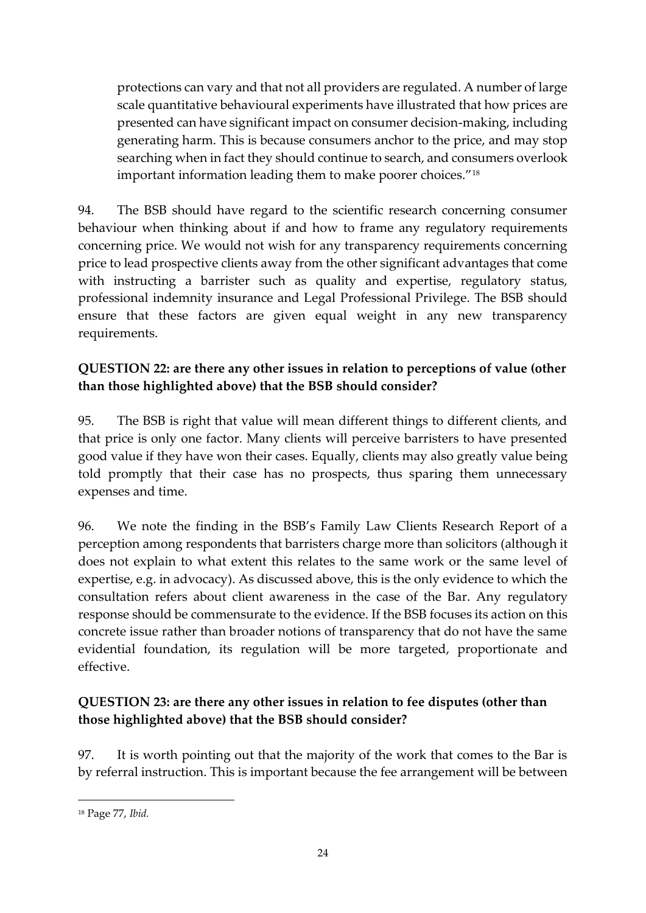protections can vary and that not all providers are regulated. A number of large scale quantitative behavioural experiments have illustrated that how prices are presented can have significant impact on consumer decision-making, including generating harm. This is because consumers anchor to the price, and may stop searching when in fact they should continue to search, and consumers overlook important information leading them to make poorer choices."<sup>18</sup>

94. The BSB should have regard to the scientific research concerning consumer behaviour when thinking about if and how to frame any regulatory requirements concerning price. We would not wish for any transparency requirements concerning price to lead prospective clients away from the other significant advantages that come with instructing a barrister such as quality and expertise, regulatory status, professional indemnity insurance and Legal Professional Privilege. The BSB should ensure that these factors are given equal weight in any new transparency requirements.

# **QUESTION 22: are there any other issues in relation to perceptions of value (other than those highlighted above) that the BSB should consider?**

95. The BSB is right that value will mean different things to different clients, and that price is only one factor. Many clients will perceive barristers to have presented good value if they have won their cases. Equally, clients may also greatly value being told promptly that their case has no prospects, thus sparing them unnecessary expenses and time.

96. We note the finding in the BSB's Family Law Clients Research Report of a perception among respondents that barristers charge more than solicitors (although it does not explain to what extent this relates to the same work or the same level of expertise, e.g. in advocacy). As discussed above, this is the only evidence to which the consultation refers about client awareness in the case of the Bar. Any regulatory response should be commensurate to the evidence. If the BSB focuses its action on this concrete issue rather than broader notions of transparency that do not have the same evidential foundation, its regulation will be more targeted, proportionate and effective.

# **QUESTION 23: are there any other issues in relation to fee disputes (other than those highlighted above) that the BSB should consider?**

97. It is worth pointing out that the majority of the work that comes to the Bar is by referral instruction. This is important because the fee arrangement will be between

**.** 

<sup>18</sup> Page 77, *Ibid.*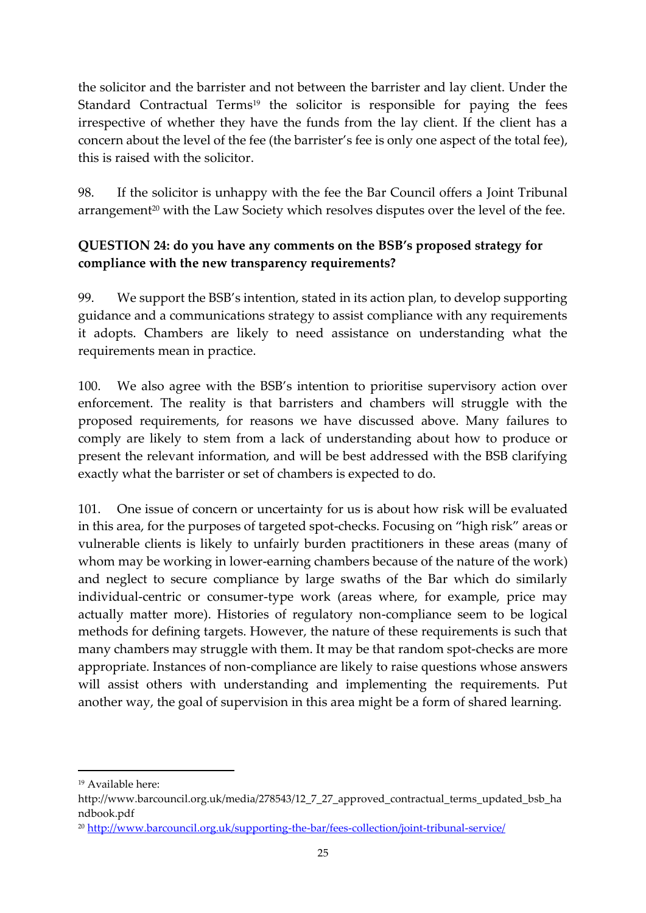the solicitor and the barrister and not between the barrister and lay client. Under the Standard Contractual Terms<sup>19</sup> the solicitor is responsible for paying the fees irrespective of whether they have the funds from the lay client. If the client has a concern about the level of the fee (the barrister's fee is only one aspect of the total fee), this is raised with the solicitor.

98. If the solicitor is unhappy with the fee the Bar Council offers a Joint Tribunal arrangement<sup>20</sup> with the Law Society which resolves disputes over the level of the fee.

# **QUESTION 24: do you have any comments on the BSB's proposed strategy for compliance with the new transparency requirements?**

99. We support the BSB's intention, stated in its action plan, to develop supporting guidance and a communications strategy to assist compliance with any requirements it adopts. Chambers are likely to need assistance on understanding what the requirements mean in practice.

100. We also agree with the BSB's intention to prioritise supervisory action over enforcement. The reality is that barristers and chambers will struggle with the proposed requirements, for reasons we have discussed above. Many failures to comply are likely to stem from a lack of understanding about how to produce or present the relevant information, and will be best addressed with the BSB clarifying exactly what the barrister or set of chambers is expected to do.

101. One issue of concern or uncertainty for us is about how risk will be evaluated in this area, for the purposes of targeted spot-checks. Focusing on "high risk" areas or vulnerable clients is likely to unfairly burden practitioners in these areas (many of whom may be working in lower-earning chambers because of the nature of the work) and neglect to secure compliance by large swaths of the Bar which do similarly individual-centric or consumer-type work (areas where, for example, price may actually matter more). Histories of regulatory non-compliance seem to be logical methods for defining targets. However, the nature of these requirements is such that many chambers may struggle with them. It may be that random spot-checks are more appropriate. Instances of non-compliance are likely to raise questions whose answers will assist others with understanding and implementing the requirements. Put another way, the goal of supervision in this area might be a form of shared learning.

**.** 

<sup>19</sup> Available here:

http://www.barcouncil.org.uk/media/278543/12\_7\_27\_approved\_contractual\_terms\_updated\_bsb\_ha ndbook.pdf

<sup>20</sup> <http://www.barcouncil.org.uk/supporting-the-bar/fees-collection/joint-tribunal-service/>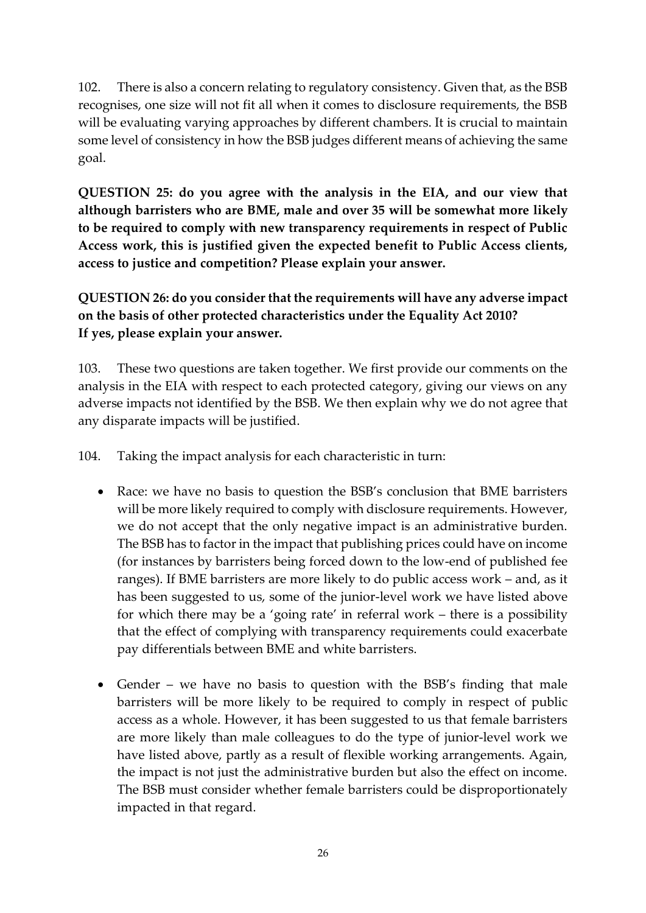102. There is also a concern relating to regulatory consistency. Given that, as the BSB recognises, one size will not fit all when it comes to disclosure requirements, the BSB will be evaluating varying approaches by different chambers. It is crucial to maintain some level of consistency in how the BSB judges different means of achieving the same goal.

**QUESTION 25: do you agree with the analysis in the EIA, and our view that although barristers who are BME, male and over 35 will be somewhat more likely to be required to comply with new transparency requirements in respect of Public Access work, this is justified given the expected benefit to Public Access clients, access to justice and competition? Please explain your answer.**

**QUESTION 26: do you consider that the requirements will have any adverse impact on the basis of other protected characteristics under the Equality Act 2010? If yes, please explain your answer.**

103. These two questions are taken together. We first provide our comments on the analysis in the EIA with respect to each protected category, giving our views on any adverse impacts not identified by the BSB. We then explain why we do not agree that any disparate impacts will be justified.

104. Taking the impact analysis for each characteristic in turn:

- Race: we have no basis to question the BSB's conclusion that BME barristers will be more likely required to comply with disclosure requirements. However, we do not accept that the only negative impact is an administrative burden. The BSB has to factor in the impact that publishing prices could have on income (for instances by barristers being forced down to the low-end of published fee ranges). If BME barristers are more likely to do public access work – and, as it has been suggested to us, some of the junior-level work we have listed above for which there may be a 'going rate' in referral work – there is a possibility that the effect of complying with transparency requirements could exacerbate pay differentials between BME and white barristers.
- Gender we have no basis to question with the BSB's finding that male barristers will be more likely to be required to comply in respect of public access as a whole. However, it has been suggested to us that female barristers are more likely than male colleagues to do the type of junior-level work we have listed above, partly as a result of flexible working arrangements. Again, the impact is not just the administrative burden but also the effect on income. The BSB must consider whether female barristers could be disproportionately impacted in that regard.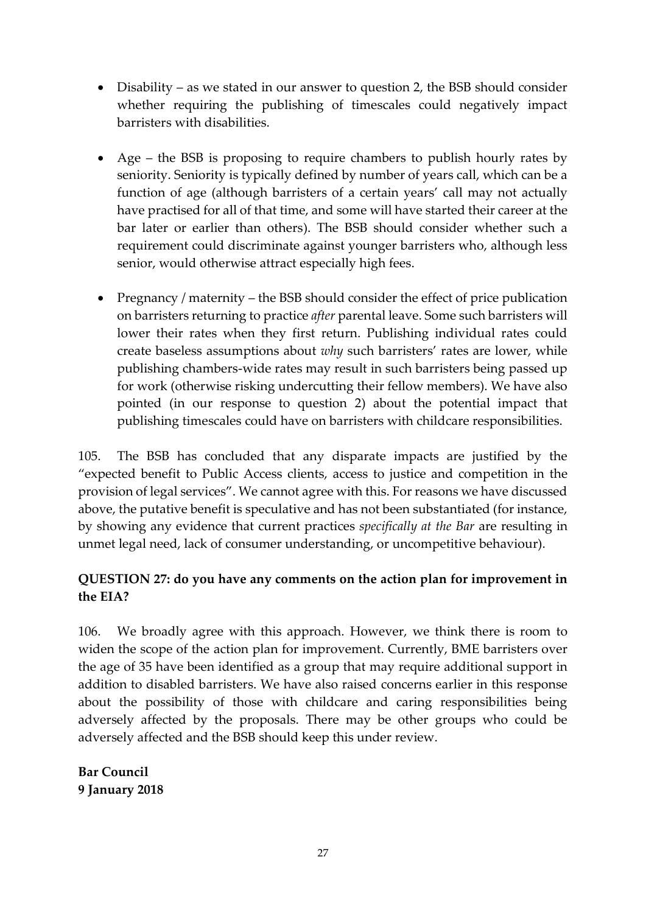- Disability as we stated in our answer to question 2, the BSB should consider whether requiring the publishing of timescales could negatively impact barristers with disabilities.
- Age the BSB is proposing to require chambers to publish hourly rates by seniority. Seniority is typically defined by number of years call, which can be a function of age (although barristers of a certain years' call may not actually have practised for all of that time, and some will have started their career at the bar later or earlier than others). The BSB should consider whether such a requirement could discriminate against younger barristers who, although less senior, would otherwise attract especially high fees.
- Pregnancy / maternity the BSB should consider the effect of price publication on barristers returning to practice *after* parental leave. Some such barristers will lower their rates when they first return. Publishing individual rates could create baseless assumptions about *why* such barristers' rates are lower, while publishing chambers-wide rates may result in such barristers being passed up for work (otherwise risking undercutting their fellow members). We have also pointed (in our response to question 2) about the potential impact that publishing timescales could have on barristers with childcare responsibilities.

105. The BSB has concluded that any disparate impacts are justified by the "expected benefit to Public Access clients, access to justice and competition in the provision of legal services". We cannot agree with this. For reasons we have discussed above, the putative benefit is speculative and has not been substantiated (for instance, by showing any evidence that current practices *specifically at the Bar* are resulting in unmet legal need, lack of consumer understanding, or uncompetitive behaviour).

### **QUESTION 27: do you have any comments on the action plan for improvement in the EIA?**

106. We broadly agree with this approach. However, we think there is room to widen the scope of the action plan for improvement. Currently, BME barristers over the age of 35 have been identified as a group that may require additional support in addition to disabled barristers. We have also raised concerns earlier in this response about the possibility of those with childcare and caring responsibilities being adversely affected by the proposals. There may be other groups who could be adversely affected and the BSB should keep this under review.

**Bar Council 9 January 2018**